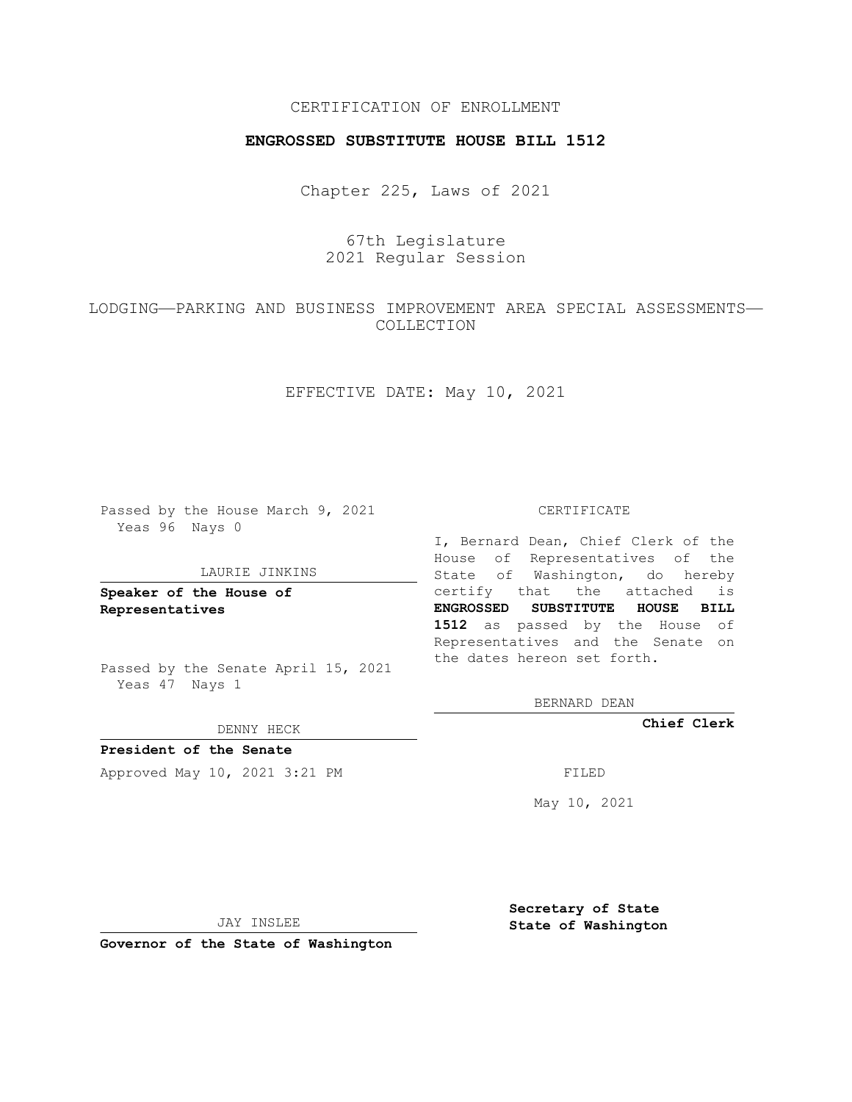## CERTIFICATION OF ENROLLMENT

## **ENGROSSED SUBSTITUTE HOUSE BILL 1512**

Chapter 225, Laws of 2021

67th Legislature 2021 Regular Session

LODGING—PARKING AND BUSINESS IMPROVEMENT AREA SPECIAL ASSESSMENTS— COLLECTION

EFFECTIVE DATE: May 10, 2021

Passed by the House March 9, 2021 Yeas 96 Nays 0

## LAURIE JINKINS

**Speaker of the House of Representatives**

Passed by the Senate April 15, 2021 Yeas 47 Nays 1

DENNY HECK

**President of the Senate** Approved May 10, 2021 3:21 PM FILED

CERTIFICATE

I, Bernard Dean, Chief Clerk of the House of Representatives of the State of Washington, do hereby certify that the attached is **ENGROSSED SUBSTITUTE HOUSE BILL 1512** as passed by the House of Representatives and the Senate on the dates hereon set forth.

BERNARD DEAN

**Chief Clerk**

May 10, 2021

JAY INSLEE

**Governor of the State of Washington**

**Secretary of State State of Washington**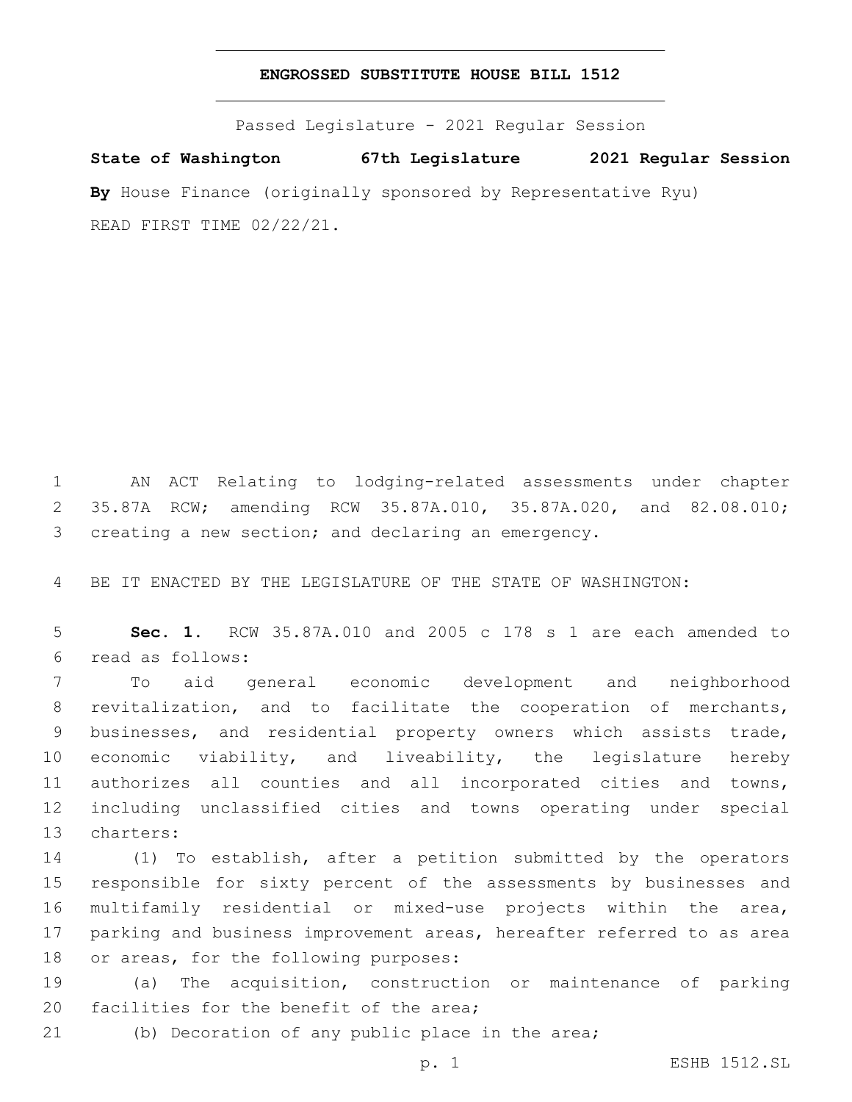## **ENGROSSED SUBSTITUTE HOUSE BILL 1512**

Passed Legislature - 2021 Regular Session **State of Washington 67th Legislature 2021 Regular Session By** House Finance (originally sponsored by Representative Ryu) READ FIRST TIME 02/22/21.

 AN ACT Relating to lodging-related assessments under chapter 35.87A RCW; amending RCW 35.87A.010, 35.87A.020, and 82.08.010; creating a new section; and declaring an emergency.

BE IT ENACTED BY THE LEGISLATURE OF THE STATE OF WASHINGTON:

 **Sec. 1.** RCW 35.87A.010 and 2005 c 178 s 1 are each amended to read as follows:6

 To aid general economic development and neighborhood revitalization, and to facilitate the cooperation of merchants, businesses, and residential property owners which assists trade, economic viability, and liveability, the legislature hereby authorizes all counties and all incorporated cities and towns, including unclassified cities and towns operating under special 13 charters:

 (1) To establish, after a petition submitted by the operators responsible for sixty percent of the assessments by businesses and multifamily residential or mixed-use projects within the area, parking and business improvement areas, hereafter referred to as area 18 or areas, for the following purposes:

 (a) The acquisition, construction or maintenance of parking 20 facilities for the benefit of the area;

(b) Decoration of any public place in the area;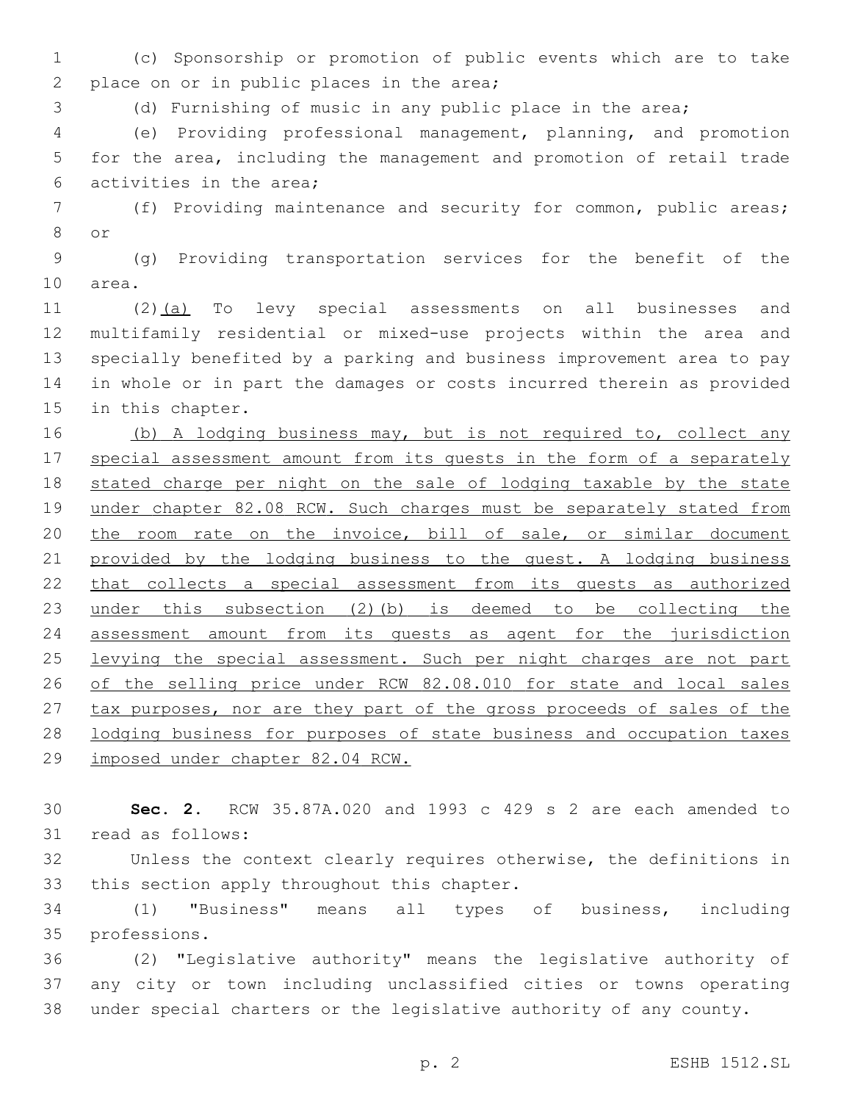1 (c) Sponsorship or promotion of public events which are to take 2 place on or in public places in the area;

3 (d) Furnishing of music in any public place in the area;

4 (e) Providing professional management, planning, and promotion 5 for the area, including the management and promotion of retail trade 6 activities in the area;

7 (f) Providing maintenance and security for common, public areas; 8 or

9 (g) Providing transportation services for the benefit of the 10 area.

 (2)(a) To levy special assessments on all businesses and multifamily residential or mixed-use projects within the area and specially benefited by a parking and business improvement area to pay in whole or in part the damages or costs incurred therein as provided 15 in this chapter.

16 (b) A lodging business may, but is not required to, collect any 17 special assessment amount from its quests in the form of a separately 18 stated charge per night on the sale of lodging taxable by the state 19 under chapter 82.08 RCW. Such charges must be separately stated from 20 the room rate on the invoice, bill of sale, or similar document 21 provided by the lodging business to the guest. A lodging business 22 that collects a special assessment from its guests as authorized 23 under this subsection (2)(b) is deemed to be collecting the 24 assessment amount from its guests as agent for the jurisdiction 25 levying the special assessment. Such per night charges are not part 26 of the selling price under RCW 82.08.010 for state and local sales 27 tax purposes, nor are they part of the gross proceeds of sales of the 28 lodging business for purposes of state business and occupation taxes 29 imposed under chapter 82.04 RCW.

30 **Sec. 2.** RCW 35.87A.020 and 1993 c 429 s 2 are each amended to 31 read as follows:

32 Unless the context clearly requires otherwise, the definitions in 33 this section apply throughout this chapter.

34 (1) "Business" means all types of business, including 35 professions.

36 (2) "Legislative authority" means the legislative authority of 37 any city or town including unclassified cities or towns operating 38 under special charters or the legislative authority of any county.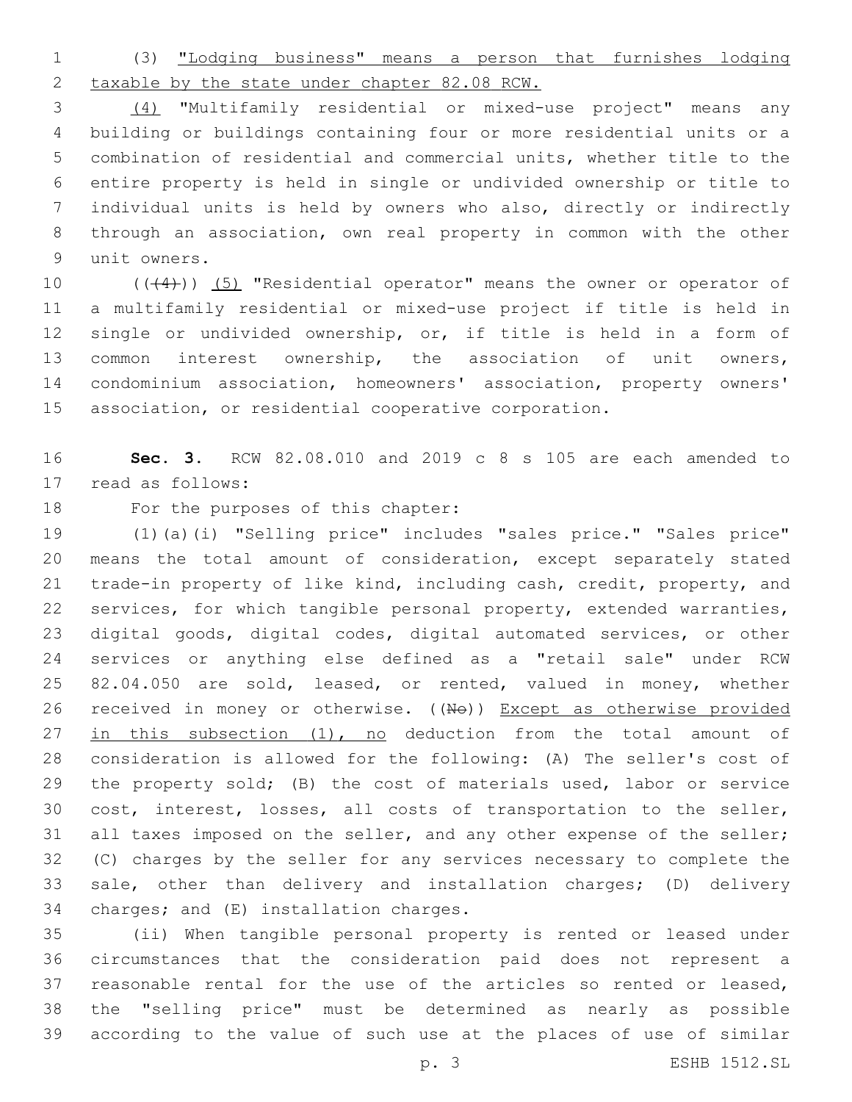(3) "Lodging business" means a person that furnishes lodging taxable by the state under chapter 82.08 RCW.

 (4) "Multifamily residential or mixed-use project" means any building or buildings containing four or more residential units or a combination of residential and commercial units, whether title to the entire property is held in single or undivided ownership or title to individual units is held by owners who also, directly or indirectly through an association, own real property in common with the other 9 unit owners.

10 (((4))) (5) "Residential operator" means the owner or operator of a multifamily residential or mixed-use project if title is held in single or undivided ownership, or, if title is held in a form of common interest ownership, the association of unit owners, condominium association, homeowners' association, property owners' association, or residential cooperative corporation.

 **Sec. 3.** RCW 82.08.010 and 2019 c 8 s 105 are each amended to 17 read as follows:

18 For the purposes of this chapter:

 (1)(a)(i) "Selling price" includes "sales price." "Sales price" means the total amount of consideration, except separately stated trade-in property of like kind, including cash, credit, property, and services, for which tangible personal property, extended warranties, digital goods, digital codes, digital automated services, or other services or anything else defined as a "retail sale" under RCW 25 82.04.050 are sold, leased, or rented, valued in money, whether 26 received in money or otherwise. ((No)) Except as otherwise provided 27 in this subsection (1), no deduction from the total amount of consideration is allowed for the following: (A) The seller's cost of the property sold; (B) the cost of materials used, labor or service cost, interest, losses, all costs of transportation to the seller, 31 all taxes imposed on the seller, and any other expense of the seller; (C) charges by the seller for any services necessary to complete the sale, other than delivery and installation charges; (D) delivery 34 charges; and (E) installation charges.

 (ii) When tangible personal property is rented or leased under circumstances that the consideration paid does not represent a reasonable rental for the use of the articles so rented or leased, the "selling price" must be determined as nearly as possible according to the value of such use at the places of use of similar

p. 3 ESHB 1512.SL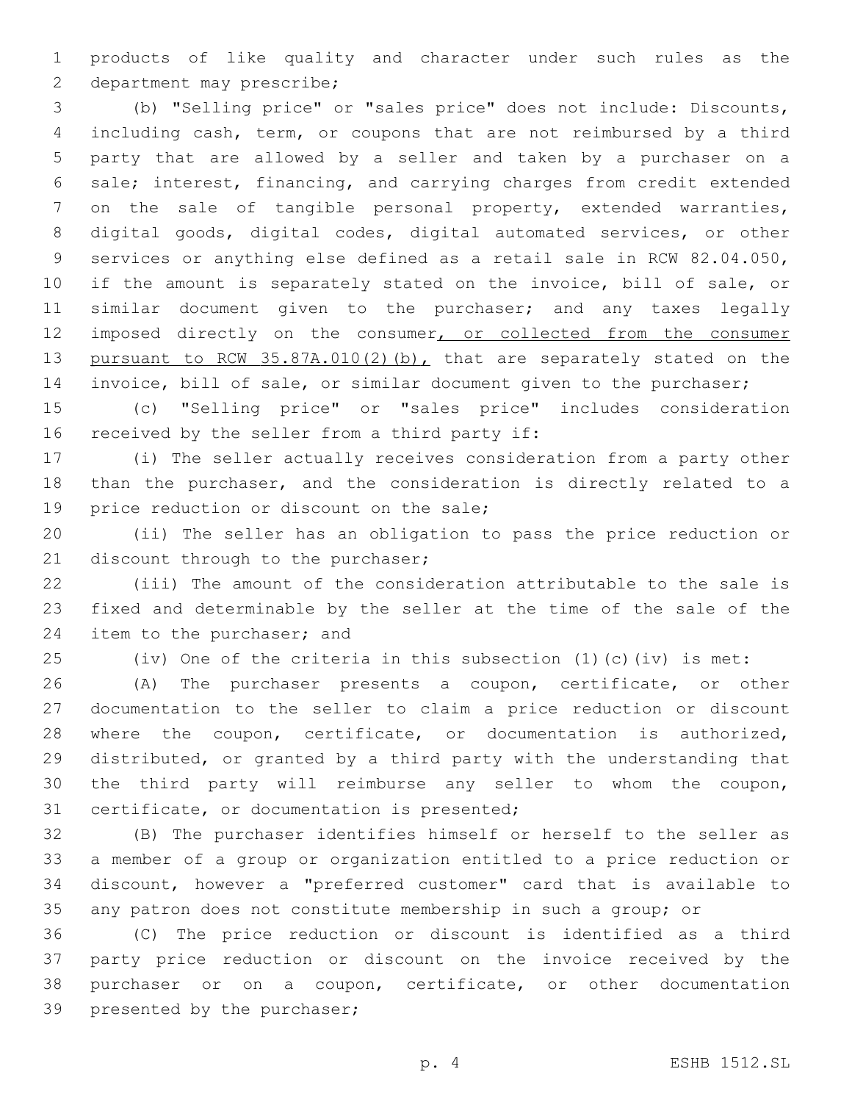products of like quality and character under such rules as the 2 department may prescribe;

 (b) "Selling price" or "sales price" does not include: Discounts, including cash, term, or coupons that are not reimbursed by a third party that are allowed by a seller and taken by a purchaser on a sale; interest, financing, and carrying charges from credit extended on the sale of tangible personal property, extended warranties, digital goods, digital codes, digital automated services, or other services or anything else defined as a retail sale in RCW 82.04.050, if the amount is separately stated on the invoice, bill of sale, or 11 similar document given to the purchaser; and any taxes legally 12 imposed directly on the consumer, or collected from the consumer 13 pursuant to RCW 35.87A.010(2)(b), that are separately stated on the invoice, bill of sale, or similar document given to the purchaser;

 (c) "Selling price" or "sales price" includes consideration 16 received by the seller from a third party if:

 (i) The seller actually receives consideration from a party other than the purchaser, and the consideration is directly related to a 19 price reduction or discount on the sale;

 (ii) The seller has an obligation to pass the price reduction or 21 discount through to the purchaser;

 (iii) The amount of the consideration attributable to the sale is fixed and determinable by the seller at the time of the sale of the 24 item to the purchaser; and

(iv) One of the criteria in this subsection (1)(c)(iv) is met:

 (A) The purchaser presents a coupon, certificate, or other documentation to the seller to claim a price reduction or discount where the coupon, certificate, or documentation is authorized, distributed, or granted by a third party with the understanding that the third party will reimburse any seller to whom the coupon, 31 certificate, or documentation is presented;

 (B) The purchaser identifies himself or herself to the seller as a member of a group or organization entitled to a price reduction or discount, however a "preferred customer" card that is available to any patron does not constitute membership in such a group; or

 (C) The price reduction or discount is identified as a third party price reduction or discount on the invoice received by the purchaser or on a coupon, certificate, or other documentation 39 presented by the purchaser;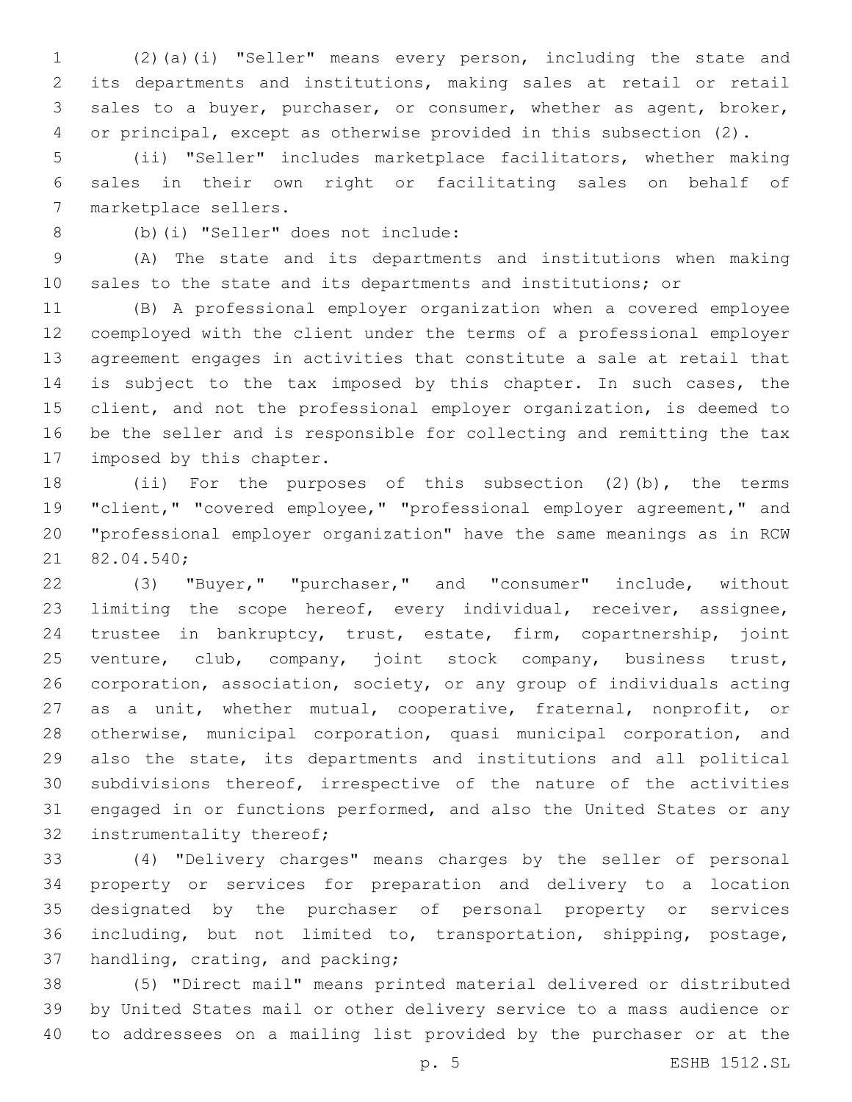(2)(a)(i) "Seller" means every person, including the state and its departments and institutions, making sales at retail or retail sales to a buyer, purchaser, or consumer, whether as agent, broker, or principal, except as otherwise provided in this subsection (2).

 (ii) "Seller" includes marketplace facilitators, whether making sales in their own right or facilitating sales on behalf of 7 marketplace sellers.

(b)(i) "Seller" does not include:8

 (A) The state and its departments and institutions when making sales to the state and its departments and institutions; or

 (B) A professional employer organization when a covered employee coemployed with the client under the terms of a professional employer agreement engages in activities that constitute a sale at retail that 14 is subject to the tax imposed by this chapter. In such cases, the client, and not the professional employer organization, is deemed to be the seller and is responsible for collecting and remitting the tax 17 imposed by this chapter.

 (ii) For the purposes of this subsection (2)(b), the terms "client," "covered employee," "professional employer agreement," and "professional employer organization" have the same meanings as in RCW 21 82.04.540;

 (3) "Buyer," "purchaser," and "consumer" include, without limiting the scope hereof, every individual, receiver, assignee, trustee in bankruptcy, trust, estate, firm, copartnership, joint venture, club, company, joint stock company, business trust, corporation, association, society, or any group of individuals acting as a unit, whether mutual, cooperative, fraternal, nonprofit, or otherwise, municipal corporation, quasi municipal corporation, and also the state, its departments and institutions and all political subdivisions thereof, irrespective of the nature of the activities engaged in or functions performed, and also the United States or any 32 instrumentality thereof;

 (4) "Delivery charges" means charges by the seller of personal property or services for preparation and delivery to a location designated by the purchaser of personal property or services including, but not limited to, transportation, shipping, postage, 37 handling, crating, and packing;

 (5) "Direct mail" means printed material delivered or distributed by United States mail or other delivery service to a mass audience or to addressees on a mailing list provided by the purchaser or at the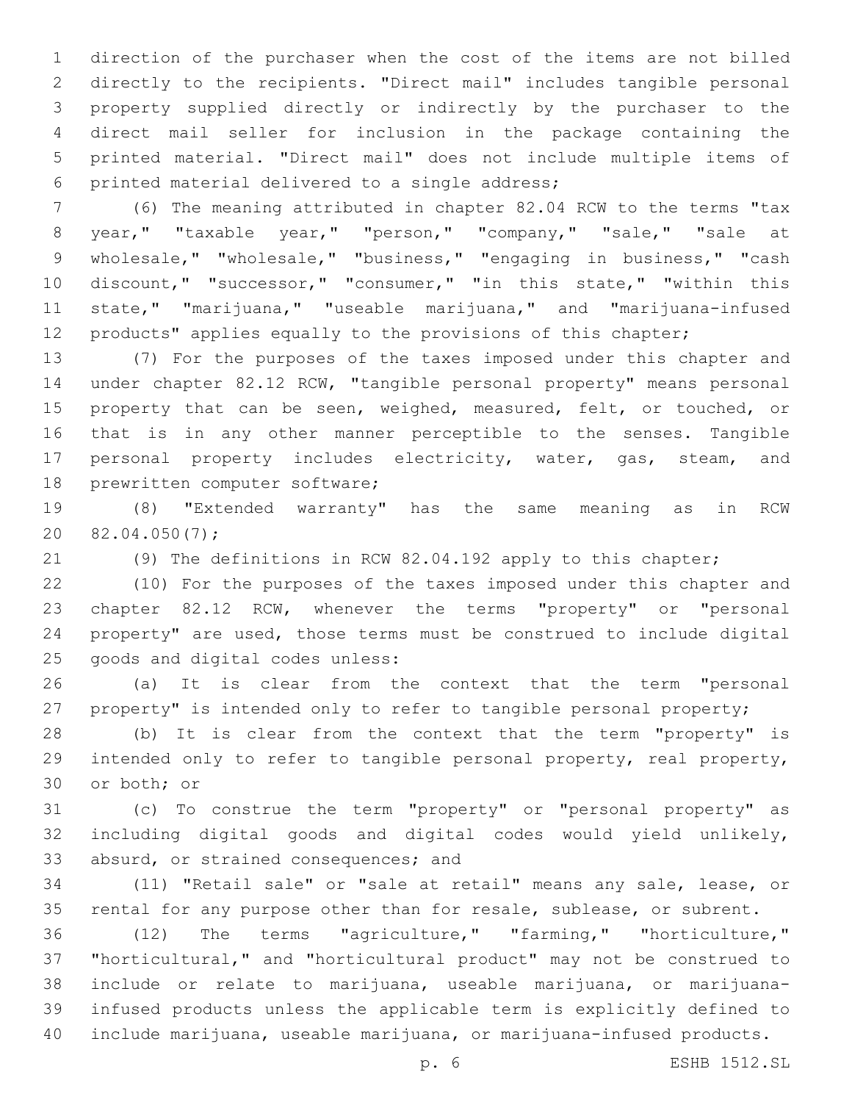direction of the purchaser when the cost of the items are not billed directly to the recipients. "Direct mail" includes tangible personal property supplied directly or indirectly by the purchaser to the direct mail seller for inclusion in the package containing the printed material. "Direct mail" does not include multiple items of 6 printed material delivered to a single address;

 (6) The meaning attributed in chapter 82.04 RCW to the terms "tax year," "taxable year," "person," "company," "sale," "sale at wholesale," "wholesale," "business," "engaging in business," "cash discount," "successor," "consumer," "in this state," "within this state," "marijuana," "useable marijuana," and "marijuana-infused products" applies equally to the provisions of this chapter;

 (7) For the purposes of the taxes imposed under this chapter and under chapter 82.12 RCW, "tangible personal property" means personal 15 property that can be seen, weighed, measured, felt, or touched, or that is in any other manner perceptible to the senses. Tangible 17 personal property includes electricity, water, gas, steam, and 18 prewritten computer software;

 (8) "Extended warranty" has the same meaning as in RCW  $20 \quad 82.04.050(7)$ ;

(9) The definitions in RCW 82.04.192 apply to this chapter;

 (10) For the purposes of the taxes imposed under this chapter and chapter 82.12 RCW, whenever the terms "property" or "personal property" are used, those terms must be construed to include digital 25 goods and digital codes unless:

 (a) It is clear from the context that the term "personal 27 property" is intended only to refer to tangible personal property;

 (b) It is clear from the context that the term "property" is intended only to refer to tangible personal property, real property, 30 or both; or

 (c) To construe the term "property" or "personal property" as including digital goods and digital codes would yield unlikely, 33 absurd, or strained consequences; and

 (11) "Retail sale" or "sale at retail" means any sale, lease, or rental for any purpose other than for resale, sublease, or subrent.

 (12) The terms "agriculture," "farming," "horticulture," "horticultural," and "horticultural product" may not be construed to include or relate to marijuana, useable marijuana, or marijuana- infused products unless the applicable term is explicitly defined to include marijuana, useable marijuana, or marijuana-infused products.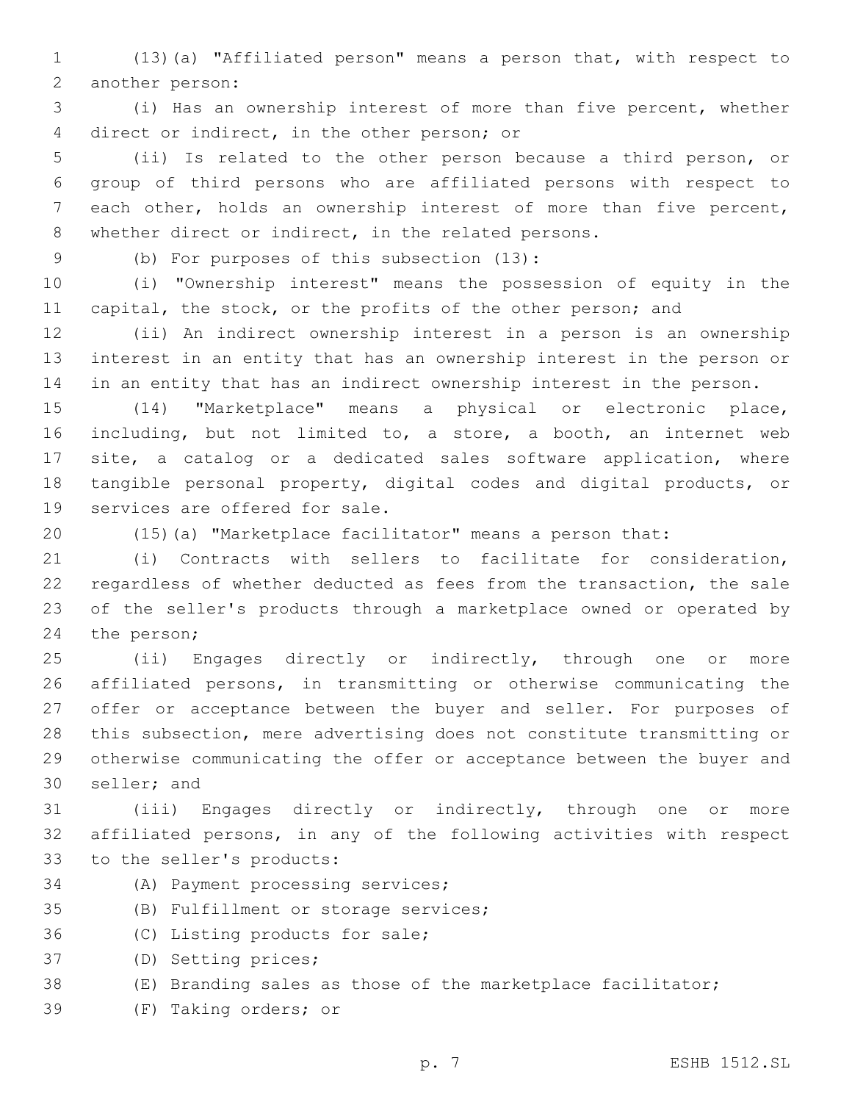(13)(a) "Affiliated person" means a person that, with respect to 2 another person:

 (i) Has an ownership interest of more than five percent, whether 4 direct or indirect, in the other person; or

 (ii) Is related to the other person because a third person, or group of third persons who are affiliated persons with respect to each other, holds an ownership interest of more than five percent, whether direct or indirect, in the related persons.

(b) For purposes of this subsection (13):9

 (i) "Ownership interest" means the possession of equity in the 11 capital, the stock, or the profits of the other person; and

 (ii) An indirect ownership interest in a person is an ownership interest in an entity that has an ownership interest in the person or in an entity that has an indirect ownership interest in the person.

 (14) "Marketplace" means a physical or electronic place, including, but not limited to, a store, a booth, an internet web site, a catalog or a dedicated sales software application, where tangible personal property, digital codes and digital products, or 19 services are offered for sale.

(15)(a) "Marketplace facilitator" means a person that:

 (i) Contracts with sellers to facilitate for consideration, regardless of whether deducted as fees from the transaction, the sale of the seller's products through a marketplace owned or operated by 24 the person;

 (ii) Engages directly or indirectly, through one or more affiliated persons, in transmitting or otherwise communicating the 27 offer or acceptance between the buyer and seller. For purposes of this subsection, mere advertising does not constitute transmitting or otherwise communicating the offer or acceptance between the buyer and 30 seller; and

 (iii) Engages directly or indirectly, through one or more affiliated persons, in any of the following activities with respect 33 to the seller's products:

34 (A) Payment processing services;

35 (B) Fulfillment or storage services;

36 (C) Listing products for sale;

37 (D) Setting prices;

- (E) Branding sales as those of the marketplace facilitator;
- 39 (F) Taking orders; or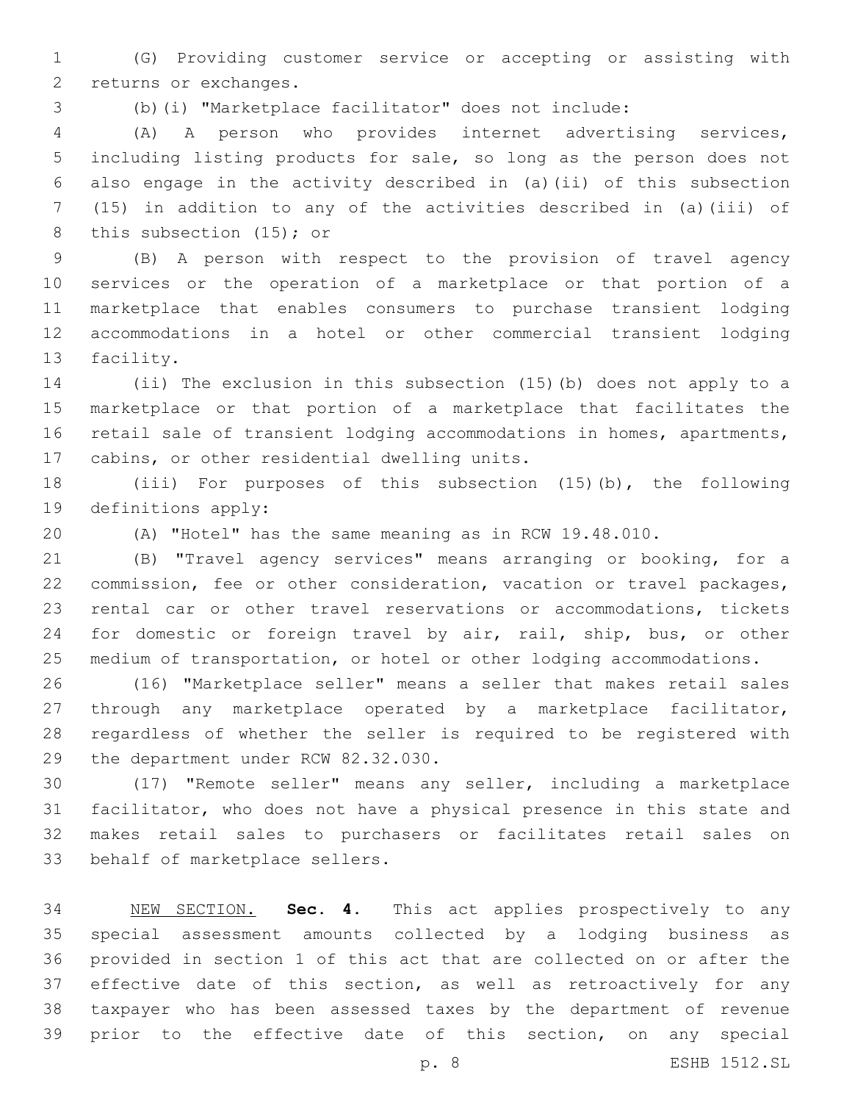(G) Providing customer service or accepting or assisting with 2 returns or exchanges.

(b)(i) "Marketplace facilitator" does not include:

 (A) A person who provides internet advertising services, including listing products for sale, so long as the person does not also engage in the activity described in (a)(ii) of this subsection (15) in addition to any of the activities described in (a)(iii) of 8 this subsection (15); or

 (B) A person with respect to the provision of travel agency services or the operation of a marketplace or that portion of a marketplace that enables consumers to purchase transient lodging accommodations in a hotel or other commercial transient lodging 13 facility.

 (ii) The exclusion in this subsection (15)(b) does not apply to a marketplace or that portion of a marketplace that facilitates the retail sale of transient lodging accommodations in homes, apartments, 17 cabins, or other residential dwelling units.

 (iii) For purposes of this subsection (15)(b), the following 19 definitions apply:

(A) "Hotel" has the same meaning as in RCW 19.48.010.

 (B) "Travel agency services" means arranging or booking, for a commission, fee or other consideration, vacation or travel packages, rental car or other travel reservations or accommodations, tickets for domestic or foreign travel by air, rail, ship, bus, or other medium of transportation, or hotel or other lodging accommodations.

 (16) "Marketplace seller" means a seller that makes retail sales through any marketplace operated by a marketplace facilitator, regardless of whether the seller is required to be registered with 29 the department under RCW 82.32.030.

 (17) "Remote seller" means any seller, including a marketplace facilitator, who does not have a physical presence in this state and makes retail sales to purchasers or facilitates retail sales on 33 behalf of marketplace sellers.

 NEW SECTION. **Sec. 4.** This act applies prospectively to any special assessment amounts collected by a lodging business as provided in section 1 of this act that are collected on or after the 37 effective date of this section, as well as retroactively for any taxpayer who has been assessed taxes by the department of revenue prior to the effective date of this section, on any special

p. 8 ESHB 1512.SL